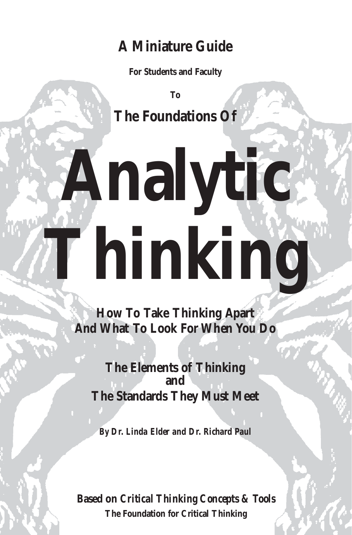## **A Miniature Guide**

**For Students and Faculty**

**To The Foundations Of**

# **Analytic Thinking**

**How To Take Thinking Apart And What To Look For When You Do**

**The Elements of Thinking and The Standards They Must Meet** 

*By Dr. Linda Elder and Dr. Richard Paul* 

**Based on** *Critical Thinking Concepts & Tools* **The Foundation for Critical Thinking**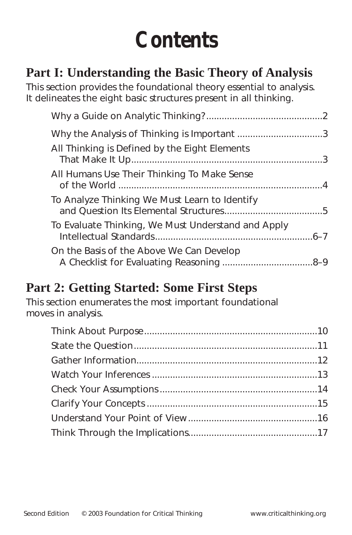## **Contents**

#### **Part I: Understanding the Basic Theory of Analysis**

This section provides the foundational theory essential to analysis. It delineates the eight basic structures present in all thinking.

| All Thinking is Defined by the Eight Elements      |  |
|----------------------------------------------------|--|
| All Humans Use Their Thinking To Make Sense        |  |
| To Analyze Thinking We Must Learn to Identify      |  |
| To Evaluate Thinking, We Must Understand and Apply |  |
| On the Basis of the Above We Can Develop           |  |

#### **Part 2: Getting Started: Some First Steps**

This section enumerates the most important foundational moves in analysis.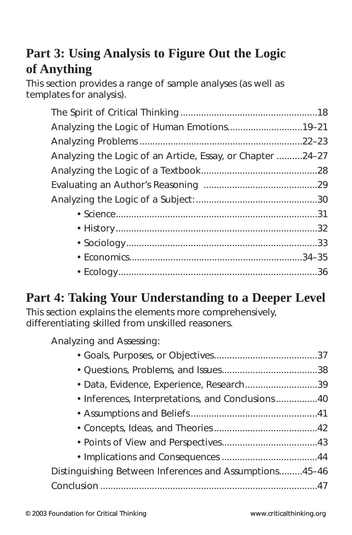#### **Part 3: Using Analysis to Figure Out the Logic of Anything**

This section provides a range of sample analyses (as well as templates for analysis).

| Analyzing the Logic of Human Emotions19-21                 |  |
|------------------------------------------------------------|--|
|                                                            |  |
| Analyzing the Logic of an Article, Essay, or Chapter 24–27 |  |
|                                                            |  |
|                                                            |  |
|                                                            |  |
|                                                            |  |
|                                                            |  |
|                                                            |  |
|                                                            |  |
|                                                            |  |

## **Part 4: Taking Your Understanding to a Deeper Level**

This section explains the elements more comprehensively, differentiating skilled from unskilled reasoners.

Analyzing and Assessing:

| • Data, Evidence, Experience, Research39               |  |
|--------------------------------------------------------|--|
|                                                        |  |
|                                                        |  |
|                                                        |  |
|                                                        |  |
|                                                        |  |
| Distinguishing Between Inferences and Assumptions45-46 |  |
|                                                        |  |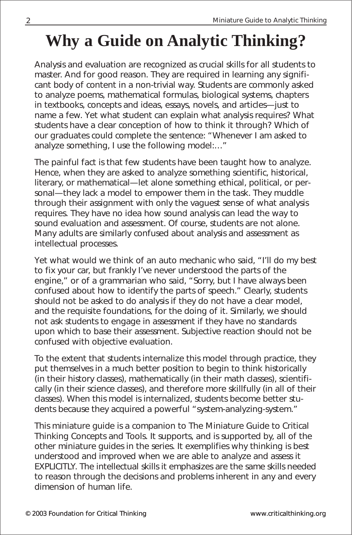## **Why a Guide on Analytic Thinking?**

Analysis and evaluation are recognized as *crucial skills* for all students to master. And for good reason. They are required in learning any significant body of content in a non-trivial way. Students are commonly asked to analyze poems, mathematical formulas, biological systems, chapters in textbooks, concepts and ideas, essays, novels, and articles—just to name a few. Yet what student can explain what analysis requires? What students have a clear conception of how to think it through? Which of our graduates could complete the sentence: "Whenever I am asked to analyze something, I use the following model:…"

The painful fact is that few students have been taught *how* to analyze. Hence, when they are asked to analyze something scientific, historical, literary, or mathematical—let alone something ethical, political, or personal—they lack a model to empower them in the task. They muddle through their assignment with only the vaguest sense of what analysis requires. They have no idea how sound analysis can lead the way to sound evaluation and assessment. Of course, students are not alone. Many adults are similarly confused about analysis and assessment as intellectual processes.

Yet what would we think of an auto mechanic who said, "I'll do my best to fix your car, but frankly I've never understood the parts of the engine," or of a grammarian who said, "Sorry, but I have always been confused about how to identify the parts of speech." Clearly, students should not be asked to do analysis if they do not have a clear model, and the requisite foundations, for the doing of it. Similarly, we should not ask students to engage in assessment if they have no standards upon which to base their assessment. Subjective reaction should not be confused with objective evaluation.

To the extent that students internalize this model through practice, they put themselves in a much better position to begin to think historically (in their history classes), mathematically (in their math classes), scientifically (in their science classes), and therefore more skillfully (in all of their classes). When this model is internalized, students become better students because they acquired a powerful "system-analyzing-system."

This miniature guide is a companion to *The Miniature Guide to Critical Thinking Concepts and Tools*. It supports, and is supported by, all of the other miniature guides in the series. It exemplifies why thinking is best understood and improved when we are able to analyze and assess it EXPLICITLY. The intellectual skills it emphasizes are the same skills needed to reason through the decisions and problems inherent in any and every dimension of human life.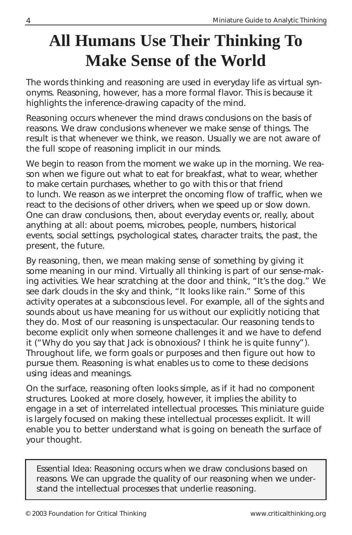## **All Humans Use Their Thinking To Make Sense of the World**

The words *thinking* and *reasoning* are used in everyday life as virtual synonyms. Reasoning, however, has a more formal flavor. This is because it highlights the inference-drawing capacity of the mind.

Reasoning occurs whenever the mind draws conclusions on the basis of reasons. We draw conclusions whenever we make sense of things. The result is that whenever we think, we reason. Usually we are not aware of the full scope of reasoning implicit in our minds.

We begin to reason from the moment we wake up in the morning. We reason when we figure out what to eat for breakfast, what to wear, whether to make certain purchases, whether to go with this or that friend to lunch. We reason as we interpret the oncoming flow of traffic, when we react to the decisions of other drivers, when we speed up or slow down. One can draw conclusions, then, about everyday events or, really, about anything at all: about poems, microbes, people, numbers, historical events, social settings, psychological states, character traits, the past, the present, the future.

By reasoning, then, we mean making sense of something by giving it some meaning in our mind. Virtually all thinking is part of our sense-making activities. We hear scratching at the door and think, "It's the dog." We see dark clouds in the sky and think, "It looks like rain." Some of this activity operates at a subconscious level. For example, all of the sights and sounds about us have meaning for us without our explicitly noticing that they do. Most of our reasoning is unspectacular. Our reasoning tends to become explicit only when someone challenges it and we have to defend it ("Why do you say that Jack is obnoxious? I think he is quite funny"). Throughout life, we form goals or purposes and then figure out how to pursue them. Reasoning is what enables us to come to these decisions using ideas and meanings.

On the surface, reasoning often looks simple, as if it had no component structures. Looked at more closely, however, it implies the ability to engage in a set of interrelated intellectual processes. This miniature guide is largely focused on making these intellectual processes explicit. It will enable you to better understand what is going on beneath the surface of your thought.

Essential Idea: Reasoning occurs when we draw conclusions based on reasons. We can upgrade the quality of our reasoning when we understand the intellectual processes that underlie reasoning.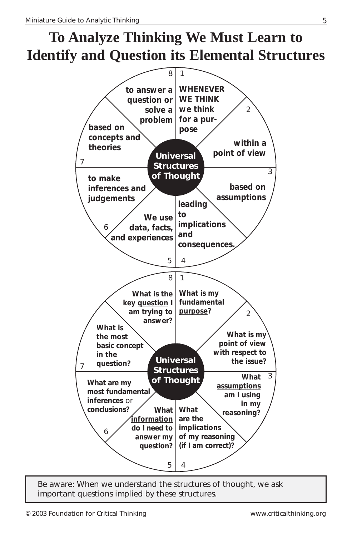## **To Analyze Thinking We Must Learn to Identify and Question its Elemental Structures**



Be aware: When we understand the structures of thought, we ask important questions implied by these structures.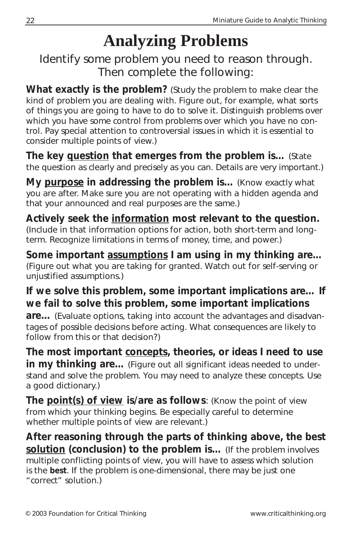## **Analyzing Problems**

Identify some problem you need to reason through. Then complete the following:

**What exactly is the problem?** (Study the problem to make clear the kind of problem you are dealing with. Figure out, for example, what sorts of things you are going to have to do to solve it. Distinguish problems over which you have some control from problems over which you have no control. Pay special attention to controversial issues in which it is essential to consider multiple points of view.)

**The key question that emerges from the problem is…** (State the question as clearly and precisely as you can. Details are very important.)

**My purpose in addressing the problem is…** (Know exactly what you are after. Make sure you are not operating with a hidden agenda and that your announced and real purposes are the same.)

**Actively seek the information most relevant to the question.** (Include in that information options for action, both short-term and longterm. Recognize limitations in terms of money, time, and power.)

**Some important assumptions I am using in my thinking are…** (Figure out what you are taking for granted. Watch out for self-serving or unjustified assumptions.)

#### **If we solve this problem, some important implications are… If we fail to solve this problem, some important implications**

**are…** (Evaluate options, taking into account the advantages and disadvantages of possible decisions before acting. What consequences are likely to follow from this or that decision?)

**The most important concepts, theories, or ideas I need to use in my thinking are…** (Figure out all significant ideas needed to understand and solve the problem. You may need to analyze these concepts. Use a good dictionary.)

**The point(s) of view is/are as follows**: (Know the point of view from which your thinking begins. Be especially careful to determine whether multiple points of view are relevant.)

**After reasoning through the parts of thinking above, the best solution (conclusion) to the problem is…** (If the problem involves multiple conflicting points of view, you will have to assess which solution is the **best**. If the problem is one-dimensional, there may be just one "correct" solution.)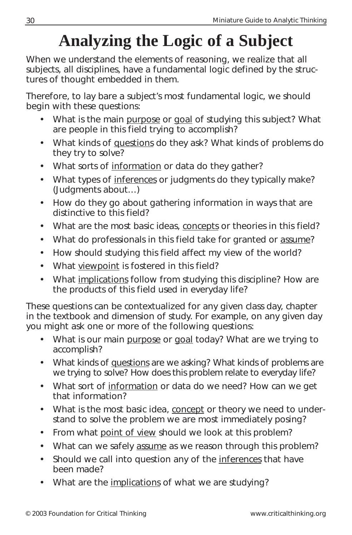## **Analyzing the Logic of a Subject**

When we understand the elements of reasoning, we realize that all subjects, all disciplines, have a fundamental logic defined by the structures of thought embedded in them.

Therefore, to lay bare a subject's most fundamental logic, we should begin with these questions:

- What is the main purpose or goal of studying this subject? What are people in this field trying to accomplish?
- What kinds of questions do they ask? What kinds of problems do they try to solve?
- What sorts of information or data do they gather?
- What types of inferences or judgments do they typically make? (Judgments about…)
- How do they go about gathering information in ways that are distinctive to this field?
- What are the most basic ideas, concepts or theories in this field?
- What do professionals in this field take for granted or assume?
- How should studying this field affect my view of the world?
- What viewpoint is fostered in this field?
- What implications follow from studying this discipline? How are the products of this field used in everyday life?

These questions can be contextualized for any given class day, chapter in the textbook and dimension of study. For example, on any given day you might ask one or more of the following questions:

- What is our main purpose or goal today? What are we trying to accomplish?
- What kinds of questions are we asking? What kinds of problems are we trying to solve? How does this problem relate to everyday life?
- What sort of information or data do we need? How can we get that information?
- What is the most basic idea, concept or theory we need to understand to solve the problem we are most immediately posing?
- From what point of view should we look at this problem?
- What can we safely assume as we reason through this problem?
- Should we call into question any of the inferences that have been made?
- What are the implications of what we are studying?